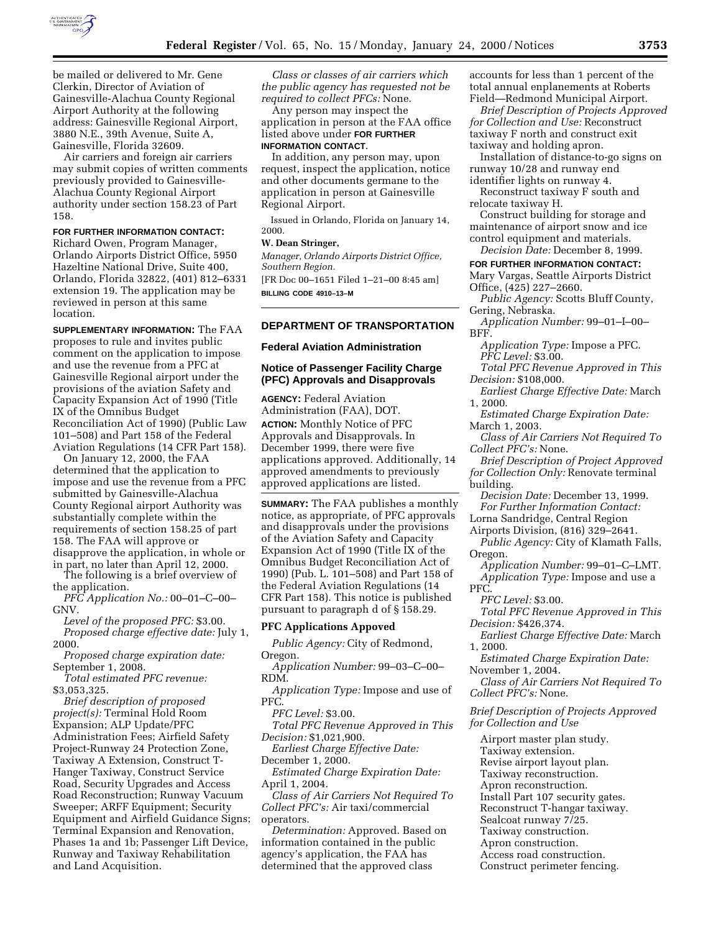

be mailed or delivered to Mr. Gene Clerkin, Director of Aviation of Gainesville-Alachua County Regional Airport Authority at the following address: Gainesville Regional Airport, 3880 N.E., 39th Avenue, Suite A, Gainesville, Florida 32609.

Air carriers and foreign air carriers may submit copies of written comments previously provided to Gainesville-Alachua County Regional Airport authority under section 158.23 of Part 158.

#### **FOR FURTHER INFORMATION CONTACT:**

Richard Owen, Program Manager, Orlando Airports District Office, 5950 Hazeltine National Drive, Suite 400, Orlando, Florida 32822, (401) 812–6331 extension 19. The application may be reviewed in person at this same location.

**SUPPLEMENTARY INFORMATION:** The FAA proposes to rule and invites public comment on the application to impose and use the revenue from a PFC at Gainesville Regional airport under the provisions of the aviation Safety and Capacity Expansion Act of 1990 (Title IX of the Omnibus Budget Reconciliation Act of 1990) (Public Law 101–508) and Part 158 of the Federal Aviation Regulations (14 CFR Part 158).

On January 12, 2000, the FAA determined that the application to impose and use the revenue from a PFC submitted by Gainesville-Alachua County Regional airport Authority was substantially complete within the requirements of section 158.25 of part 158. The FAA will approve or disapprove the application, in whole or in part, no later than April 12, 2000.

The following is a brief overview of the application.

*PFC Application No.:* 00–01–C–00– GNV.

*Level of the proposed PFC:* \$3.00. *Proposed charge effective date:* July 1, 2000.

*Proposed charge expiration date:* September 1, 2008.

*Total estimated PFC revenue:* \$3,053,325.

*Brief description of proposed project(s):* Terminal Hold Room Expansion; ALP Update/PFC Administration Fees; Airfield Safety Project-Runway 24 Protection Zone, Taxiway A Extension, Construct T-Hanger Taxiway, Construct Service Road, Security Upgrades and Access Road Reconstruction; Runway Vacuum Sweeper; ARFF Equipment; Security Equipment and Airfield Guidance Signs; Terminal Expansion and Renovation, Phases 1a and 1b; Passenger Lift Device, Runway and Taxiway Rehabilitation and Land Acquisition.

*Class or classes of air carriers which the public agency has requested not be required to collect PFCs:* None.

Any person may inspect the application in person at the FAA office listed above under **FOR FURTHER INFORMATION CONTACT**.

In addition, any person may, upon request, inspect the application, notice and other documents germane to the application in person at Gainesville Regional Airport.

Issued in Orlando, Florida on January 14, 2000.

### **W. Dean Stringer,**

*Manager, Orlando Airports District Office, Southern Region.* [FR Doc 00–1651 Filed 1–21–00 8:45 am]

**BILLING CODE 4910–13–M**

## **DEPARTMENT OF TRANSPORTATION**

#### **Federal Aviation Administration**

### **Notice of Passenger Facility Charge (PFC) Approvals and Disapprovals**

**AGENCY:** Federal Aviation Administration (FAA), DOT. **ACTION:** Monthly Notice of PFC Approvals and Disapprovals. In December 1999, there were five applications approved. Additionally, 14 approved amendments to previously approved applications are listed.

**SUMMARY:** The FAA publishes a monthly notice, as appropriate, of PFC approvals and disapprovals under the provisions of the Aviation Safety and Capacity Expansion Act of 1990 (Title IX of the Omnibus Budget Reconciliation Act of 1990) (Pub. L. 101–508) and Part 158 of the Federal Aviation Regulations (14 CFR Part 158). This notice is published pursuant to paragraph d of § 158.29.

#### **PFC Applications Appoved**

*Public Agency:* City of Redmond, Oregon.

*Application Number:* 99–03–C–00– RDM.

*Application Type:* Impose and use of PFC.

*PFC Level:* \$3.00.

*Total PFC Revenue Approved in This Decision:* \$1,021,900.

*Earliest Charge Effective Date:* December 1, 2000.

*Estimated Charge Expiration Date:* April 1, 2004.

*Class of Air Carriers Not Required To Collect PFC's:* Air taxi/commercial operators.

*Determination:* Approved. Based on information contained in the public agency's application, the FAA has determined that the approved class

accounts for less than 1 percent of the total annual enplanements at Roberts Field—Redmond Municipal Airport.

*Brief Description of Projects Approved for Collection and Use:* Reconstruct taxiway F north and construct exit taxiway and holding apron.

Installation of distance-to-go signs on runway 10/28 and runway end

identifier lights on runway 4. Reconstruct taxiway F south and

relocate taxiway H. Construct building for storage and

maintenance of airport snow and ice control equipment and materials. *Decision Date:* December 8, 1999.

# **FOR FURTHER INFORMATION CONTACT:**

Mary Vargas, Seattle Airports District Office, (425) 227–2660.

*Public Agency:* Scotts Bluff County, Gering, Nebraska.

*Application Number:* 99–01–I–00– BFF.

*Application Type:* Impose a PFC. *PFC Level:* \$3.00.

*Total PFC Revenue Approved in This Decision:* \$108,000.

*Earliest Charge Effective Date:* March 1, 2000.

*Estimated Charge Expiration Date:* March 1, 2003.

*Class of Air Carriers Not Required To Collect PFC's:* None.

*Brief Description of Project Approved for Collection Only:* Renovate terminal building.

*Decision Date:* December 13, 1999. *For Further Information Contact:*

Lorna Sandridge, Central Region

Airports Division, (816) 329–2641. *Public Agency:* City of Klamath Falls,

Oregon.

*Application Number:* 99–01–C–LMT. *Application Type:* Impose and use a PFC.

*PFC Level:* \$3.00.

*Total PFC Revenue Approved in This Decision:* \$426,374.

*Earliest Charge Effective Date:* March 1, 2000.

*Estimated Charge Expiration Date:* November 1, 2004.

*Class of Air Carriers Not Required To Collect PFC's:* None.

*Brief Description of Projects Approved for Collection and Use*

Airport master plan study. Taxiway extension. Revise airport layout plan. Taxiway reconstruction. Apron reconstruction. Install Part 107 security gates. Reconstruct T-hangar taxiway. Sealcoat runway 7/25. Taxiway construction. Apron construction. Access road construction. Construct perimeter fencing.